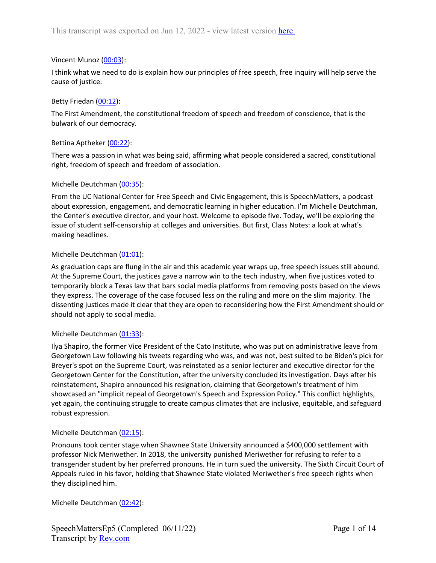# Vincent Munoz ([00:03\)](https://www.rev.com/transcript-editor/Edit?token=9YhusEcuvoVBJXYfeG2BofBtAa7xJOe1IrvHbjsWut0x7O0lULeDLGxtFjC7GmVHr-24R2nqj-bX4tePsJJ6aILtIIo&loadFrom=DocumentDeeplink&ts=3.21):

I think what we need to do is explain how our principles of free speech, free inquiry will help serve the cause of justice.

# Betty Friedan ([00:12](https://www.rev.com/transcript-editor/Edit?token=RN4EeKKnRH6oUrVfxKiUQH-rXrvMGvx0wDMqIpVFtG7Vd6LVvko_X-Omda5lKxgoFFcIjlPqddiCquPkSHGGmA7hfOI&loadFrom=DocumentDeeplink&ts=12.18)):

The First Amendment, the constitutional freedom of speech and freedom of conscience, that is the bulwark of our democracy.

# Bettina Aptheker [\(00:22](https://www.rev.com/transcript-editor/Edit?token=83-V4vwGCFikAWeMQD4ARj9wiuXUgxeQ0bZkg95WhK9n4WBRoLxfPCPeMhHwL9mTn7ZAldfBMZNmAKl3Gs_BJcq0OHY&loadFrom=DocumentDeeplink&ts=22.04)):

There was a passion in what was being said, affirming what people considered a sacred, constitutional right, freedom of speech and freedom of association.

# Michelle Deutchman ([00:35\)](https://www.rev.com/transcript-editor/Edit?token=QypcLPCQ4PocTCyvyNawx6h2hnB0Or-VHPBF-UHqDK_OpZqjlbbapi1WOvsfKbCnIhHub3np0-QrvIq6vsLKlUlIXaY&loadFrom=DocumentDeeplink&ts=35.53):

From the UC National Center for Free Speech and Civic Engagement, this is SpeechMatters, a podcast about expression, engagement, and democratic learning in higher education. I'm Michelle Deutchman, the Center's executive director, and your host. Welcome to episode five. Today, we'll be exploring the issue of student self-censorship at colleges and universities. But first, Class Notes: a look at what's making headlines.

# Michelle Deutchman ([01:01\)](https://www.rev.com/transcript-editor/Edit?token=GWH4idI9fdOhaIw-0J2HAdgg6ClwAMGrmhyI24trtNGmDcsuqmkTpiwBQA9Ng9_d-cj-YCZnyx5bDCOCD1-prZVxeSc&loadFrom=DocumentDeeplink&ts=61.05):

As graduation caps are flung in the air and this academic year wraps up, free speech issues still abound. At the Supreme Court, the justices gave a narrow win to the tech industry, when five justices voted to temporarily block a Texas law that bars social media platforms from removing posts based on the views they express. The coverage of the case focused less on the ruling and more on the slim majority. The dissenting justices made it clear that they are open to reconsidering how the First Amendment should or should not apply to social media.

## Michelle Deutchman ([01:33\)](https://www.rev.com/transcript-editor/Edit?token=ppq8X0jOyym9J8z5aUL3qexnAyQ6WA-y0y7Kn_imOLxfyxhreu8a_4u-YEh4zIptEOruLBmHF5P5-Ab1Pf2Ek_BHsFc&loadFrom=DocumentDeeplink&ts=93.04):

Ilya Shapiro, the former Vice President of the Cato Institute, who was put on administrative leave from Georgetown Law following his tweets regarding who was, and was not, best suited to be Biden's pick for Breyer's spot on the Supreme Court, was reinstated as a senior lecturer and executive director for the Georgetown Center for the Constitution, after the university concluded its investigation. Days after his reinstatement, Shapiro announced his resignation, claiming that Georgetown's treatment of him showcased an "implicit repeal of Georgetown's Speech and Expression Policy." This conflict highlights, yet again, the continuing struggle to create campus climates that are inclusive, equitable, and safeguard robust expression.

## Michelle Deutchman ([02:15\)](https://www.rev.com/transcript-editor/Edit?token=77alQoSReGtM3JXNipOLC3mvi3fn1xAfuESBIuRkF3zn2bQfPOFb_lX6S7n9KanjEyyP01gfDkwBLFVZ6Zb0H5H0vqg&loadFrom=DocumentDeeplink&ts=135.76):

Pronouns took center stage when Shawnee State University announced a \$400,000 settlement with professor Nick Meriwether. In 2018, the university punished Meriwether for refusing to refer to a transgender student by her preferred pronouns. He in turn sued the university. The Sixth Circuit Court of Appeals ruled in his favor, holding that Shawnee State violated Meriwether's free speech rights when they disciplined him.

Michelle Deutchman ([02:42\)](https://www.rev.com/transcript-editor/Edit?token=wUA4laoj-9kVPMWzJGlt6A-exOHyZuKhwWnvNFBj6aLSfbAuGP9wfYAflP_iDIzGEqUAGMl6EgDXL4XjhVXW1mpiAGY&loadFrom=DocumentDeeplink&ts=162.32):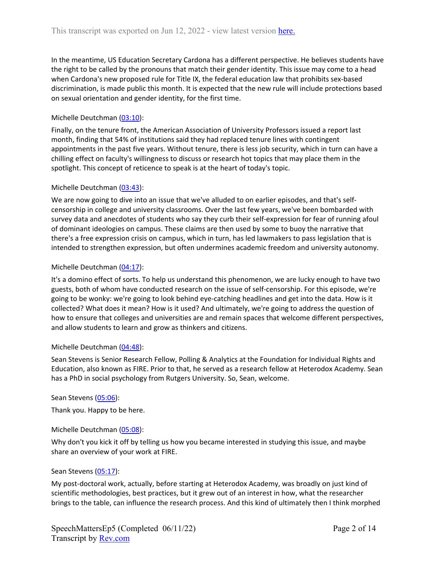In the meantime, US Education Secretary Cardona has a different perspective. He believes students have the right to be called by the pronouns that match their gender identity. This issue may come to a head when Cardona's new proposed rule for Title IX, the federal education law that prohibits sex-based discrimination, is made public this month. It is expected that the new rule will include protections based on sexual orientation and gender identity, for the first time.

# Michelle Deutchman ([03:10\)](https://www.rev.com/transcript-editor/Edit?token=6YHF8tRN_-6VChFWUq0Y1PqK-qkvhGsu-VkXXIBgu5OzpTYKVE_GetY-VbsiU4VV8LzXX1gis9jt8quvVyYAZ4x7d0A&loadFrom=DocumentDeeplink&ts=190.6):

Finally, on the tenure front, the American Association of University Professors issued a report last month, finding that 54% of institutions said they had replaced tenure lines with contingent appointments in the past five years. Without tenure, there is less job security, which in turn can have a chilling effect on faculty's willingness to discuss or research hot topics that may place them in the spotlight. This concept of reticence to speak is at the heart of today's topic.

# Michelle Deutchman ([03:43\)](https://www.rev.com/transcript-editor/Edit?token=w3vA7db-pRVo5ORBYXxcf6pKoXUL6f_ZLuhXqtVo1sVOMfP672L_eMCgIC80r3S4g1b1lNe13IcUa3MYvc9sgJsC2ss&loadFrom=DocumentDeeplink&ts=223.77):

We are now going to dive into an issue that we've alluded to on earlier episodes, and that's selfcensorship in college and university classrooms. Over the last few years, we've been bombarded with survey data and anecdotes of students who say they curb their self-expression for fear of running afoul of dominant ideologies on campus. These claims are then used by some to buoy the narrative that there's a free expression crisis on campus, which in turn, has led lawmakers to pass legislation that is intended to strengthen expression, but often undermines academic freedom and university autonomy.

# Michelle Deutchman ([04:17\)](https://www.rev.com/transcript-editor/Edit?token=9h-Dj5RSjfGY25guqWU9_0svhkBFU-xjs3DbIdgCy-QrpaPinpYQHaxxBsfrZn1ZVImK1RwdpsfPDUYRK6GNlUR7DiE&loadFrom=DocumentDeeplink&ts=257.6):

It's a domino effect of sorts. To help us understand this phenomenon, we are lucky enough to have two guests, both of whom have conducted research on the issue of self-censorship. For this episode, we're going to be wonky: we're going to look behind eye-catching headlines and get into the data. How is it collected? What does it mean? How is it used? And ultimately, we're going to address the question of how to ensure that colleges and universities are and remain spaces that welcome different perspectives, and allow students to learn and grow as thinkers and citizens.

## Michelle Deutchman ([04:48\)](https://www.rev.com/transcript-editor/Edit?token=L1XAWMSs3OZTJGlCfE6mrNpgi-WZzQkrLuP2vpkL75xiF7AolOWDm_mfnFT5u20n3--vsYCkR5mwfh8CN0Vcnq-NMYw&loadFrom=DocumentDeeplink&ts=288.52):

Sean Stevens is Senior Research Fellow, Polling & Analytics at the Foundation for Individual Rights and Education, also known as FIRE. Prior to that, he served as a research fellow at Heterodox Academy. Sean has a PhD in social psychology from Rutgers University. So, Sean, welcome.

## Sean Stevens ([05:06\)](https://www.rev.com/transcript-editor/Edit?token=3coKHMgaQHy3fn2KaE8zNzDyiwLXoAI7Pmve5XDDGYSL64HX54hTHypDf8Y0KzcDitRFn8TCwZP2xgilUZRLx_QYY_I&loadFrom=DocumentDeeplink&ts=306.3):

Thank you. Happy to be here.

# Michelle Deutchman ([05:08\)](https://www.rev.com/transcript-editor/Edit?token=zpGKEQgzxuCe5gHrhYL3FCXKtXPoveo2mspfw1iVeHjz4iHa8IEX1xi3ZWmYTfF1E7WORvqUFyTJNysTtSknPtLhx9Y&loadFrom=DocumentDeeplink&ts=308.36):

Why don't you kick it off by telling us how you became interested in studying this issue, and maybe share an overview of your work at FIRE.

## Sean Stevens ([05:17\)](https://www.rev.com/transcript-editor/Edit?token=IHTGCnGk_BlFtXAWN0mDgY2tPCBsGIt7LRi2PYJ-bWxxqKV0ITdQMwM9EPexhghchpqn7oo4Bk_fhs3giBTW5CRsA4I&loadFrom=DocumentDeeplink&ts=317.45):

My post-doctoral work, actually, before starting at Heterodox Academy, was broadly on just kind of scientific methodologies, best practices, but it grew out of an interest in how, what the researcher brings to the table, can influence the research process. And this kind of ultimately then I think morphed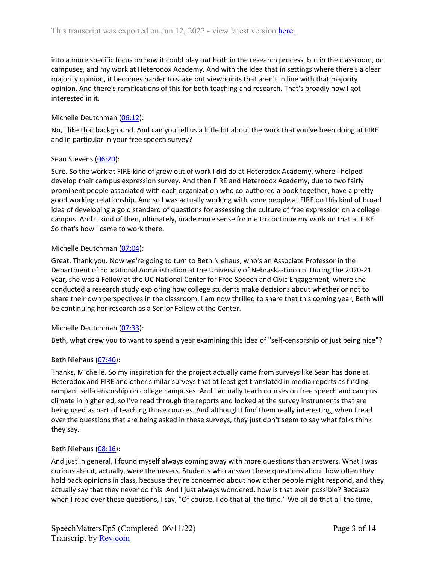into a more specific focus on how it could play out both in the research process, but in the classroom, on campuses, and my work at Heterodox Academy. And with the idea that in settings where there's a clear majority opinion, it becomes harder to stake out viewpoints that aren't in line with that majority opinion. And there's ramifications of this for both teaching and research. That's broadly how I got interested in it.

# Michelle Deutchman ([06:12\)](https://www.rev.com/transcript-editor/Edit?token=gj_kFH2dPSCbFUd-_e5YJnx_Rcerr7_5KgiG0dYeOrOtPKUINOuFG8Xd1UHwT787zJ-j59kNGKxmZILm0y4EKQFO6e8&loadFrom=DocumentDeeplink&ts=372.38):

No, I like that background. And can you tell us a little bit about the work that you've been doing at FIRE and in particular in your free speech survey?

# Sean Stevens ([06:20\)](https://www.rev.com/transcript-editor/Edit?token=NtJT-tgqnmVEeYceL6nVOVCw58WiEkjPd8N2IFuhDSjCB0bu0AeYy9Wpfynt7uLFus81S3Wr34cN6FGQgy1hPfv2WjA&loadFrom=DocumentDeeplink&ts=380.89):

Sure. So the work at FIRE kind of grew out of work I did do at Heterodox Academy, where I helped develop their campus expression survey. And then FIRE and Heterodox Academy, due to two fairly prominent people associated with each organization who co-authored a book together, have a pretty good working relationship. And so I was actually working with some people at FIRE on this kind of broad idea of developing a gold standard of questions for assessing the culture of free expression on a college campus. And it kind of then, ultimately, made more sense for me to continue my work on that at FIRE. So that's how I came to work there.

# Michelle Deutchman ([07:04\)](https://www.rev.com/transcript-editor/Edit?token=miYm_SjULEaXpmllYGHr_OUFRAf5ROq4xxIn5FCu9kvjRa8PERRtgtJneIldM-iSovHJBBIsXO1luGcgjLxLX3L3DK4&loadFrom=DocumentDeeplink&ts=424.37):

Great. Thank you. Now we're going to turn to Beth Niehaus, who's an Associate Professor in the Department of Educational Administration at the University of Nebraska-Lincoln. During the 2020-21 year, she was a Fellow at the UC National Center for Free Speech and Civic Engagement, where she conducted a research study exploring how college students make decisions about whether or not to share their own perspectives in the classroom. I am now thrilled to share that this coming year, Beth will be continuing her research as a Senior Fellow at the Center.

# Michelle Deutchman ([07:33\)](https://www.rev.com/transcript-editor/Edit?token=ySR1t9fIz6L2StRg-_xf7-hlHfCoF-waUhVKwlwtCKubi6XOg2ZbTfzB8Te3EhE1jFlo33D9FDebvqXNeJT6mxOV0uI&loadFrom=DocumentDeeplink&ts=453.63):

Beth, what drew you to want to spend a year examining this idea of "self-censorship or just being nice"?

# Beth Niehaus [\(07:40\)](https://www.rev.com/transcript-editor/Edit?token=dvac---YsthB6s_KUpDHNGsE1U21vtbBFnMJTtojW669Na_EKHZvf89yHjyvmg_sSW5ciePCJXZJuYeDNzx45RMsj4o&loadFrom=DocumentDeeplink&ts=460.84):

Thanks, Michelle. So my inspiration for the project actually came from surveys like Sean has done at Heterodox and FIRE and other similar surveys that at least get translated in media reports as finding rampant self-censorship on college campuses. And I actually teach courses on free speech and campus climate in higher ed, so I've read through the reports and looked at the survey instruments that are being used as part of teaching those courses. And although I find them really interesting, when I read over the questions that are being asked in these surveys, they just don't seem to say what folks think they say.

# Beth Niehaus [\(08:16\)](https://www.rev.com/transcript-editor/Edit?token=be-qN_tx1AOifzCfUNak_03hywUEIahuva-tjjIA3lE_HGBtk4a3KlF-xnvhvN9EbVFqusIY8kiBjvUPBzcYUaVQyrA&loadFrom=DocumentDeeplink&ts=496.24):

And just in general, I found myself always coming away with more questions than answers. What I was curious about, actually, were the nevers. Students who answer these questions about how often they hold back opinions in class, because they're concerned about how other people might respond, and they actually say that they never do this. And I just always wondered, how is that even possible? Because when I read over these questions, I say, "Of course, I do that all the time." We all do that all the time,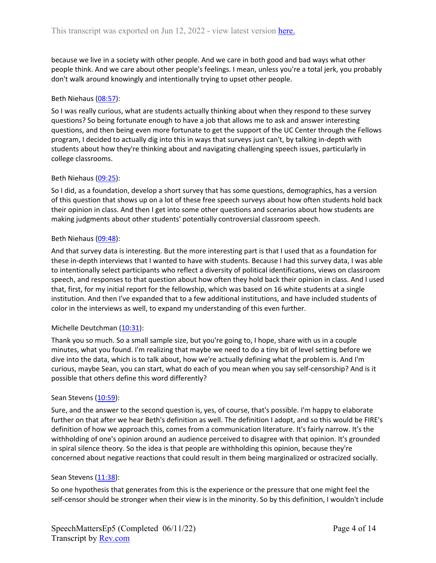because we live in a society with other people. And we care in both good and bad ways what other people think. And we care about other people's feelings. I mean, unless you're a total jerk, you probably don't walk around knowingly and intentionally trying to upset other people.

## Beth Niehaus [\(08:57\)](https://www.rev.com/transcript-editor/Edit?token=jzDeWuwYMQ2IfZPitmZopSOelTx9WdJtOeledHgDE3qttR6Yh12JaRSJgdv9sFbc_yMo0ohISLqUmMCyzZDhL2aEXGE&loadFrom=DocumentDeeplink&ts=537.34):

So I was really curious, what are students actually thinking about when they respond to these survey questions? So being fortunate enough to have a job that allows me to ask and answer interesting questions, and then being even more fortunate to get the support of the UC Center through the Fellows program, I decided to actually dig into this in ways that surveys just can't, by talking in-depth with students about how they're thinking about and navigating challenging speech issues, particularly in college classrooms.

# Beth Niehaus [\(09:25\)](https://www.rev.com/transcript-editor/Edit?token=QRl7y8mCAzrTVjhUR4B68mp9ZczjE8JQO_3YW3zywDfOxzDIr7d2vyYp9DYJ6Nafz5AQxV8DvPZH_KIvMBNP-fbmn2U&loadFrom=DocumentDeeplink&ts=565.63):

So I did, as a foundation, develop a short survey that has some questions, demographics, has a version of this question that shows up on a lot of these free speech surveys about how often students hold back their opinion in class. And then I get into some other questions and scenarios about how students are making judgments about other students' potentially controversial classroom speech.

## Beth Niehaus [\(09:48\)](https://www.rev.com/transcript-editor/Edit?token=1zWZcRaaShUCL82vUoRM75QDh6TOM0SDIVeJ6d0npjUcjE-YrVJzMl1xhL4uQ8nJbt6xhhRRA69gaQwqAygCWvooLwE&loadFrom=DocumentDeeplink&ts=588.33):

And that survey data is interesting. But the more interesting part is that I used that as a foundation for these in-depth interviews that I wanted to have with students. Because I had this survey data, I was able to intentionally select participants who reflect a diversity of political identifications, views on classroom speech, and responses to that question about how often they hold back their opinion in class. And I used that, first, for my initial report for the fellowship, which was based on 16 white students at a single institution. And then I've expanded that to a few additional institutions, and have included students of color in the interviews as well, to expand my understanding of this even further.

## Michelle Deutchman ([10:31\)](https://www.rev.com/transcript-editor/Edit?token=VmSYWmap2LZrX0Pf74kbfFVz8RSkOjndsA1IPKRvENVPf6xUezXzLaCfZ3VwwH2G5nPOqk98pn9dVKPmQlTi5PySJig&loadFrom=DocumentDeeplink&ts=631.56):

Thank you so much. So a small sample size, but you're going to, I hope, share with us in a couple minutes, what you found. I'm realizing that maybe we need to do a tiny bit of level setting before we dive into the data, which is to talk about, how we're actually defining what the problem is. And I'm curious, maybe Sean, you can start, what do each of you mean when you say self-censorship? And is it possible that others define this word differently?

## Sean Stevens ([10:59\)](https://www.rev.com/transcript-editor/Edit?token=984_-UywWZvBR_Yz35RNtqUo1DD72XuatsMPzMyWdagr47IhGo_UfbITUX05-mEBqtd4WjN2tCnuZIwssPraTDaIrrw&loadFrom=DocumentDeeplink&ts=659.32):

Sure, and the answer to the second question is, yes, of course, that's possible. I'm happy to elaborate further on that after we hear Beth's definition as well. The definition I adopt, and so this would be FIRE's definition of how we approach this, comes from a communication literature. It's fairly narrow. It's the withholding of one's opinion around an audience perceived to disagree with that opinion. It's grounded in spiral silence theory. So the idea is that people are withholding this opinion, because they're concerned about negative reactions that could result in them being marginalized or ostracized socially.

## Sean Stevens ([11:38\)](https://www.rev.com/transcript-editor/Edit?token=uRPoeYyhV-Cbbj-9Sw6EH88yfznGHDfHwUKGGpPLLWPtt-BqBfLjo0_1K4pElDZ6cydsb_MXufBuBuor_tjzXlB0zW4&loadFrom=DocumentDeeplink&ts=698.09):

So one hypothesis that generates from this is the experience or the pressure that one might feel the self-censor should be stronger when their view is in the minority. So by this definition, I wouldn't include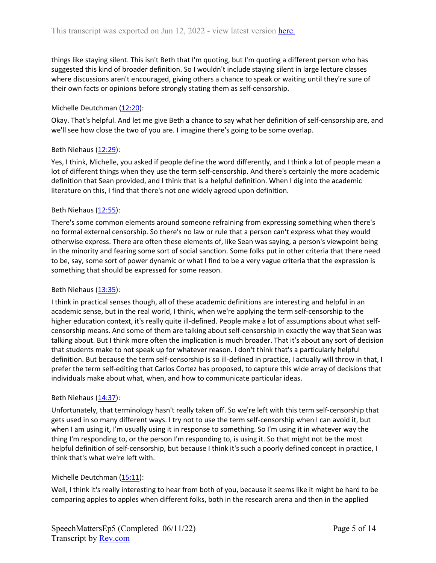things like staying silent. This isn't Beth that I'm quoting, but I'm quoting a different person who has suggested this kind of broader definition. So I wouldn't include staying silent in large lecture classes where discussions aren't encouraged, giving others a chance to speak or waiting until they're sure of their own facts or opinions before strongly stating them as self-censorship.

# Michelle Deutchman ([12:20\)](https://www.rev.com/transcript-editor/Edit?token=4YY2aDsIcW625IC18NU7LKwhRq0UN2_GIQbLmVDDF4vwoS3eWzgpx-Vsjs0nsdvc04gylwUTxpZjrNaQcTRNUWCUpDw&loadFrom=DocumentDeeplink&ts=740.22):

Okay. That's helpful. And let me give Beth a chance to say what her definition of self-censorship are, and we'll see how close the two of you are. I imagine there's going to be some overlap.

# Beth Niehaus [\(12:29\)](https://www.rev.com/transcript-editor/Edit?token=xVmAFtq24lehOnxTKdMTiefSl2HHpPN_15JGvHkk5LuPTjY_Btwjkr1djcKOZ-Dp_9s-9uFwVaIYqdFhqNaEFhpYDf4&loadFrom=DocumentDeeplink&ts=749.98):

Yes, I think, Michelle, you asked if people define the word differently, and I think a lot of people mean a lot of different things when they use the term self-censorship. And there's certainly the more academic definition that Sean provided, and I think that is a helpful definition. When I dig into the academic literature on this, I find that there's not one widely agreed upon definition.

# Beth Niehaus [\(12:55\)](https://www.rev.com/transcript-editor/Edit?token=kqUJIDgwetFKKh2u8OLLKbjRbLWDNm6BUltphIFcLytYeZrqkHCEdh67dKgE52Xc40HARoZ5s293VJlaPjZvO-3ovcE&loadFrom=DocumentDeeplink&ts=775.04):

There's some common elements around someone refraining from expressing something when there's no formal external censorship. So there's no law or rule that a person can't express what they would otherwise express. There are often these elements of, like Sean was saying, a person's viewpoint being in the minority and fearing some sort of social sanction. Some folks put in other criteria that there need to be, say, some sort of power dynamic or what I find to be a very vague criteria that the expression is something that should be expressed for some reason.

## Beth Niehaus [\(13:35\)](https://www.rev.com/transcript-editor/Edit?token=sXxtZRDfNLB4_7RJsAK8jTAPWMCJ5GnjihPMnBq5EYC_IsHC5ksr4adudzi0HvoAVE0GpDSQCx2MZw0B7mrfOCcP3m4&loadFrom=DocumentDeeplink&ts=815.75):

I think in practical senses though, all of these academic definitions are interesting and helpful in an academic sense, but in the real world, I think, when we're applying the term self-censorship to the higher education context, it's really quite ill-defined. People make a lot of assumptions about what selfcensorship means. And some of them are talking about self-censorship in exactly the way that Sean was talking about. But I think more often the implication is much broader. That it's about any sort of decision that students make to not speak up for whatever reason. I don't think that's a particularly helpful definition. But because the term self-censorship is so ill-defined in practice, I actually will throw in that, I prefer the term self-editing that Carlos Cortez has proposed, to capture this wide array of decisions that individuals make about what, when, and how to communicate particular ideas.

## Beth Niehaus [\(14:37\)](https://www.rev.com/transcript-editor/Edit?token=dBd3pqLgID16_J3XtOEgEpUHyA4pZYWGBMYUh8t5iqpIGoUFuJt7JhyZsG_KksQpeEesbFp6P8cVJujjY4q8FqR2E4w&loadFrom=DocumentDeeplink&ts=877.46):

Unfortunately, that terminology hasn't really taken off. So we're left with this term self-censorship that gets used in so many different ways. I try not to use the term self-censorship when I can avoid it, but when I am using it, I'm usually using it in response to something. So I'm using it in whatever way the thing I'm responding to, or the person I'm responding to, is using it. So that might not be the most helpful definition of self-censorship, but because I think it's such a poorly defined concept in practice, I think that's what we're left with.

# Michelle Deutchman ([15:11\)](https://www.rev.com/transcript-editor/Edit?token=CBCQM659SFO6UshnrX9i19MKRaU-jkfQn54Tyl4M6gKCu6XIRB3W_sKH0o4OjeCuBWx9Za-2A0GnRrVZA3rpAFUubIg&loadFrom=DocumentDeeplink&ts=911.58):

Well, I think it's really interesting to hear from both of you, because it seems like it might be hard to be comparing apples to apples when different folks, both in the research arena and then in the applied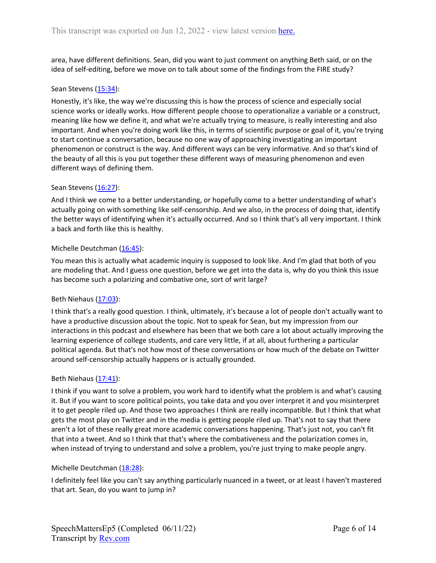area, have different definitions. Sean, did you want to just comment on anything Beth said, or on the idea of self-editing, before we move on to talk about some of the findings from the FIRE study?

## Sean Stevens ([15:34\)](https://www.rev.com/transcript-editor/Edit?token=qB1P014AggQWwY7TeeR7q9OLixQJY4GjEhyWm3caqtiwSQ3bE5s0BZpgqloUk8jvRFNFzaL0fPXxM_q5v-S2RLxTBP8&loadFrom=DocumentDeeplink&ts=934.19):

Honestly, it's like, the way we're discussing this is how the process of science and especially social science works or ideally works. How different people choose to operationalize a variable or a construct, meaning like how we define it, and what we're actually trying to measure, is really interesting and also important. And when you're doing work like this, in terms of scientific purpose or goal of it, you're trying to start continue a conversation, because no one way of approaching investigating an important phenomenon or construct is the way. And different ways can be very informative. And so that's kind of the beauty of all this is you put together these different ways of measuring phenomenon and even different ways of defining them.

# Sean Stevens ([16:27\)](https://www.rev.com/transcript-editor/Edit?token=Tv9lGCmEKinaP4s5_eTslgPSGFaSjDpBcoSggt34CQLMhfsWiI4f0aFddC50FgS5sM4aWBvSaqXNwybyZTjuNrpSWPM&loadFrom=DocumentDeeplink&ts=987.2):

And I think we come to a better understanding, or hopefully come to a better understanding of what's actually going on with something like self-censorship. And we also, in the process of doing that, identify the better ways of identifying when it's actually occurred. And so I think that's all very important. I think a back and forth like this is healthy.

# Michelle Deutchman ([16:45\)](https://www.rev.com/transcript-editor/Edit?token=Cae_jO1-IdjOeBNIztW1UmlsdZNCHzMGW3Nl4wRD4VC2SjMkQNSVMzBGXa3ewGIgg5ZPMpm8kkDXYQpxWTjsrDg_VJI&loadFrom=DocumentDeeplink&ts=1005.83):

You mean this is actually what academic inquiry is supposed to look like. And I'm glad that both of you are modeling that. And I guess one question, before we get into the data is, why do you think this issue has become such a polarizing and combative one, sort of writ large?

## Beth Niehaus [\(17:03\)](https://www.rev.com/transcript-editor/Edit?token=YaNG3vtWfN3Sm3DIU9cderNXE2liIrtOhENvL8u61B3WqoLl9UbcK10T56DrNJ6mnL49vI9xaHxa7yWGQPDwgNNJmt4&loadFrom=DocumentDeeplink&ts=1023.68):

I think that's a really good question. I think, ultimately, it's because a lot of people don't actually want to have a productive discussion about the topic. Not to speak for Sean, but my impression from our interactions in this podcast and elsewhere has been that we both care a lot about actually improving the learning experience of college students, and care very little, if at all, about furthering a particular political agenda. But that's not how most of these conversations or how much of the debate on Twitter around self-censorship actually happens or is actually grounded.

## Beth Niehaus [\(17:41\)](https://www.rev.com/transcript-editor/Edit?token=zc5v_NWtif_uiAnxplOfMKngyC-MdG4NPIp6ag7PTQlHod_LUuQPtxA9xvgWokfOnkm_-e7OMHu58DfA30eJE-4ihfk&loadFrom=DocumentDeeplink&ts=1061.73):

I think if you want to solve a problem, you work hard to identify what the problem is and what's causing it. But if you want to score political points, you take data and you over interpret it and you misinterpret it to get people riled up. And those two approaches I think are really incompatible. But I think that what gets the most play on Twitter and in the media is getting people riled up. That's not to say that there aren't a lot of these really great more academic conversations happening. That's just not, you can't fit that into a tweet. And so I think that that's where the combativeness and the polarization comes in, when instead of trying to understand and solve a problem, you're just trying to make people angry.

## Michelle Deutchman ([18:28\)](https://www.rev.com/transcript-editor/Edit?token=DPHdHwOgAeuzkRl9i0VcumeN_sY83NTGWHlaySHNIDGKWq5PUVBcbfcze-k0MhpJkOixeRyTIkqvMzEUNkbIyZjeqak&loadFrom=DocumentDeeplink&ts=1108.05):

I definitely feel like you can't say anything particularly nuanced in a tweet, or at least I haven't mastered that art. Sean, do you want to jump in?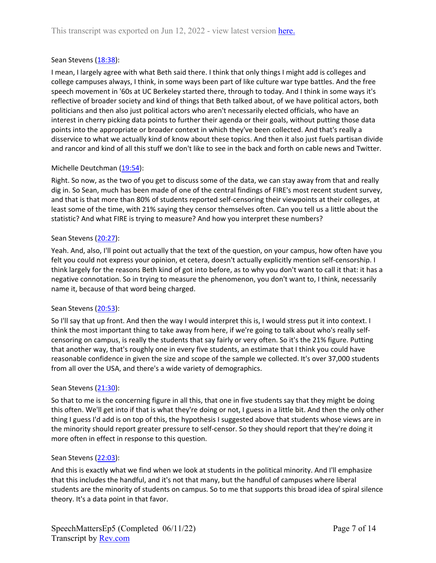# Sean Stevens ([18:38\)](https://www.rev.com/transcript-editor/Edit?token=BQkz1L_6iE763a2uE_qXW_9tX-OvaFnV7ZBQcUxiXI11pWrI8-NBOquBVRX6aI7VcS9wwSA54vcb0QzgKsxPWISXWqU&loadFrom=DocumentDeeplink&ts=1118.13):

I mean, I largely agree with what Beth said there. I think that only things I might add is colleges and college campuses always, I think, in some ways been part of like culture war type battles. And the free speech movement in '60s at UC Berkeley started there, through to today. And I think in some ways it's reflective of broader society and kind of things that Beth talked about, of we have political actors, both politicians and then also just political actors who aren't necessarily elected officials, who have an interest in cherry picking data points to further their agenda or their goals, without putting those data points into the appropriate or broader context in which they've been collected. And that's really a disservice to what we actually kind of know about these topics. And then it also just fuels partisan divide and rancor and kind of all this stuff we don't like to see in the back and forth on cable news and Twitter.

# Michelle Deutchman ([19:54\)](https://www.rev.com/transcript-editor/Edit?token=LDYulk33P6Whm71CX_sIGGcAgIK09RbC3tyS4T4TAUXfbUYLYnLHlOFQEPfHOFPiW94S4slikmOTv16RhNpv9bi6IJA&loadFrom=DocumentDeeplink&ts=1194.73):

Right. So now, as the two of you get to discuss some of the data, we can stay away from that and really dig in. So Sean, much has been made of one of the central findings of FIRE's most recent student survey, and that is that more than 80% of students reported self-censoring their viewpoints at their colleges, at least some of the time, with 21% saying they censor themselves often. Can you tell us a little about the statistic? And what FIRE is trying to measure? And how you interpret these numbers?

## Sean Stevens ([20:27\)](https://www.rev.com/transcript-editor/Edit?token=gcGhoGJKFGqrkP0bc7HWdrJy8bX84v2oYAWv4iULakIx_tMoFKbuVngBRo8wkXLUe1_cRw9hsy2OKGVcONC9C-2I4s0&loadFrom=DocumentDeeplink&ts=1227.52):

Yeah. And, also, I'll point out actually that the text of the question, on your campus, how often have you felt you could not express your opinion, et cetera, doesn't actually explicitly mention self-censorship. I think largely for the reasons Beth kind of got into before, as to why you don't want to call it that: it has a negative connotation. So in trying to measure the phenomenon, you don't want to, I think, necessarily name it, because of that word being charged.

## Sean Stevens ([20:53\)](https://www.rev.com/transcript-editor/Edit?token=ip8fpdLSNjlUfMuId9VxlsNvsbxQG7gz5FepYzfztG6Iu7_tQQSzyIyqjb8vBWMxVEoINkdMU5hCzeShK5OxVzBUj5A&loadFrom=DocumentDeeplink&ts=1253.88):

So I'll say that up front. And then the way I would interpret this is, I would stress put it into context. I think the most important thing to take away from here, if we're going to talk about who's really selfcensoring on campus, is really the students that say fairly or very often. So it's the 21% figure. Putting that another way, that's roughly one in every five students, an estimate that I think you could have reasonable confidence in given the size and scope of the sample we collected. It's over 37,000 students from all over the USA, and there's a wide variety of demographics.

## Sean Stevens ([21:30\)](https://www.rev.com/transcript-editor/Edit?token=HfYf9WpCo8E_vc6K3X4wHk7XDJvCzCx6PvNyQHx3B2V504Frs7aHN5Y3jjJFfkzk7y7SlapIGMLRypo6qlTSBUxY7QU&loadFrom=DocumentDeeplink&ts=1290.96):

So that to me is the concerning figure in all this, that one in five students say that they might be doing this often. We'll get into if that is what they're doing or not, I guess in a little bit. And then the only other thing I guess I'd add is on top of this, the hypothesis I suggested above that students whose views are in the minority should report greater pressure to self-censor. So they should report that they're doing it more often in effect in response to this question.

## Sean Stevens ([22:03\)](https://www.rev.com/transcript-editor/Edit?token=XrMAdDIeNX_v7rowpB_YniHtWyrBr9_80kGxCqzxtVvV8SjF2Ek78poPIszxwF3ODUD6Q4hQkyUDot-fdmpYfUAcdkg&loadFrom=DocumentDeeplink&ts=1323.28):

And this is exactly what we find when we look at students in the political minority. And I'll emphasize that this includes the handful, and it's not that many, but the handful of campuses where liberal students are the minority of students on campus. So to me that supports this broad idea of spiral silence theory. It's a data point in that favor.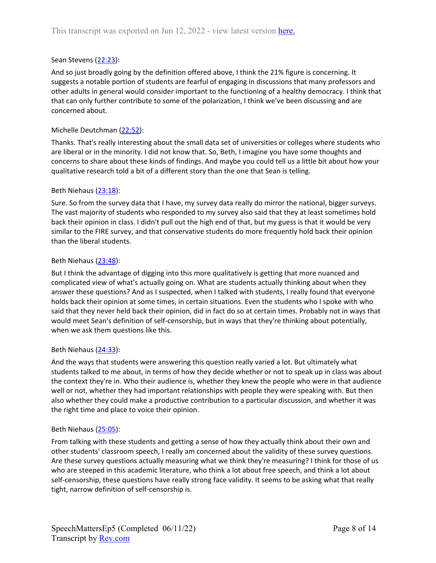## Sean Stevens ([22:23\)](https://www.rev.com/transcript-editor/Edit?token=sCdAdKeHH9x7It87xIEsVydLz5YybZvEOOMvosS2ZMk8QIIhkwmpCLkm2dgV__ZMK9d8l_Dqir8KggnHyFWzjHGvap0&loadFrom=DocumentDeeplink&ts=1343):

And so just broadly going by the definition offered above, I think the 21% figure is concerning. It suggests a notable portion of students are fearful of engaging in discussions that many professors and other adults in general would consider important to the functioning of a healthy democracy. I think that that can only further contribute to some of the polarization, I think we've been discussing and are concerned about.

## Michelle Deutchman ([22:52\)](https://www.rev.com/transcript-editor/Edit?token=oziAfNbH0Y6ktOec-CkFvzvvAEnGZb8aj6n1p_oUOTmYc6OzqRo7rsVrgh9oJxZnRGPdDLO7Jl6XBdUWREBrG7iKmR8&loadFrom=DocumentDeeplink&ts=1372.08):

Thanks. That's really interesting about the small data set of universities or colleges where students who are liberal or in the minority. I did not know that. So, Beth, I imagine you have some thoughts and concerns to share about these kinds of findings. And maybe you could tell us a little bit about how your qualitative research told a bit of a different story than the one that Sean is telling.

## Beth Niehaus [\(23:18\)](https://www.rev.com/transcript-editor/Edit?token=eQVyCAcVqae8SUR0O4V08sieDbOoUqh9Df0O6eB0KSPjYyHyGTi1_pp6SK69stcKPFaebV4eA1MDGMa6tu26DkSbilU&loadFrom=DocumentDeeplink&ts=1398.75):

Sure. So from the survey data that I have, my survey data really do mirror the national, bigger surveys. The vast majority of students who responded to my survey also said that they at least sometimes hold back their opinion in class. I didn't pull out the high end of that, but my guess is that it would be very similar to the FIRE survey, and that conservative students do more frequently hold back their opinion than the liberal students.

## Beth Niehaus [\(23:48\)](https://www.rev.com/transcript-editor/Edit?token=gVDbLfrXWgAVN6awVMvSryZg8qpxQ45X12Qb5ncDadE8ZGbDbo6v6c-MsVjsiMy4fsj0YtuvbeOKopmThcfphxu2BUA&loadFrom=DocumentDeeplink&ts=1428.3):

But I think the advantage of digging into this more qualitatively is getting that more nuanced and complicated view of what's actually going on. What are students actually thinking about when they answer these questions? And as I suspected, when I talked with students, I really found that everyone holds back their opinion at some times, in certain situations. Even the students who I spoke with who said that they never held back their opinion, did in fact do so at certain times. Probably not in ways that would meet Sean's definition of self-censorship, but in ways that they're thinking about potentially, when we ask them questions like this.

## Beth Niehaus [\(24:33\)](https://www.rev.com/transcript-editor/Edit?token=1dboAwZX7oCNb0_4lQ-RaG6Njp-6M5l75KXB1qZjGA1COCbAkMHNESCc2kft9-9RAQkmzKKVaBG_4JHFKYjBf6YFHoE&loadFrom=DocumentDeeplink&ts=1473.29):

And the ways that students were answering this question really varied a lot. But ultimately what students talked to me about, in terms of how they decide whether or not to speak up in class was about the context they're in. Who their audience is, whether they knew the people who were in that audience well or not, whether they had important relationships with people they were speaking with. But then also whether they could make a productive contribution to a particular discussion, and whether it was the right time and place to voice their opinion.

## Beth Niehaus [\(25:05\)](https://www.rev.com/transcript-editor/Edit?token=jBDuJMZHUJbDKG-gt4kJ5GsVKFaA0cPRoiRfE7YbTWalRbOX31mk4qLUPRJfivZxicBHGCa8w1cbitAeKsvt7Nq_Pu8&loadFrom=DocumentDeeplink&ts=1505.25):

From talking with these students and getting a sense of how they actually think about their own and other students' classroom speech, I really am concerned about the validity of these survey questions. Are these survey questions actually measuring what we think they're measuring? I think for those of us who are steeped in this academic literature, who think a lot about free speech, and think a lot about self-censorship, these questions have really strong face validity. It seems to be asking what that really tight, narrow definition of self-censorship is.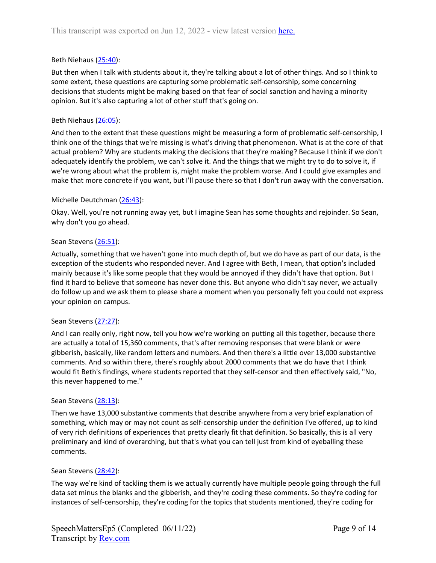## Beth Niehaus [\(25:40\)](https://www.rev.com/transcript-editor/Edit?token=firi-MBjttEsQtFQtTLjRW7SOqvYFHVRyeaNw7canMxyDma8enKWfqPz806jIvRxgbKebvKGx4-h9KEKxm2AyfNNI9U&loadFrom=DocumentDeeplink&ts=1540.66):

But then when I talk with students about it, they're talking about a lot of other things. And so I think to some extent, these questions are capturing some problematic self-censorship, some concerning decisions that students might be making based on that fear of social sanction and having a minority opinion. But it's also capturing a lot of other stuff that's going on.

#### Beth Niehaus [\(26:05\)](https://www.rev.com/transcript-editor/Edit?token=fSsyaYDUEXGN_0ohc7huan3D9BfuvpJL9WkcjtfNKAUsLOn29l5aWIZOevL7nE45x_8ouyXK15Xu43ZscyhffAZjBQk&loadFrom=DocumentDeeplink&ts=1565.32):

And then to the extent that these questions might be measuring a form of problematic self-censorship, I think one of the things that we're missing is what's driving that phenomenon. What is at the core of that actual problem? Why are students making the decisions that they're making? Because I think if we don't adequately identify the problem, we can't solve it. And the things that we might try to do to solve it, if we're wrong about what the problem is, might make the problem worse. And I could give examples and make that more concrete if you want, but I'll pause there so that I don't run away with the conversation.

#### Michelle Deutchman ([26:43\)](https://www.rev.com/transcript-editor/Edit?token=iXvZiNCr1ZXB37N9seqk7ijO2rBKDMfbYeMeCaIuzZUcwFxJpkF55mQbdwVWYI6soiHzCvv01y33b2xlkLmDq_Xqda4&loadFrom=DocumentDeeplink&ts=1603.03):

Okay. Well, you're not running away yet, but I imagine Sean has some thoughts and rejoinder. So Sean, why don't you go ahead.

#### Sean Stevens ([26:51\)](https://www.rev.com/transcript-editor/Edit?token=PgbHQYv8YPIiKJNoOjM2294NEp6l0HNi8KEKX4SUV7nqeln6joZ8NZwbtBcnlItonAtsQoQJSgBA1ht_u-YIGe3pMmU&loadFrom=DocumentDeeplink&ts=1611.54):

Actually, something that we haven't gone into much depth of, but we do have as part of our data, is the exception of the students who responded never. And I agree with Beth, I mean, that option's included mainly because it's like some people that they would be annoyed if they didn't have that option. But I find it hard to believe that someone has never done this. But anyone who didn't say never, we actually do follow up and we ask them to please share a moment when you personally felt you could not express your opinion on campus.

## Sean Stevens ([27:27\)](https://www.rev.com/transcript-editor/Edit?token=zkFNIrkSD-AEJQx2_-GGAx77QarOAbGtAbmx50tp4m8qtEtS1k10bi2VqVz6RzoUJZhovRneSaHCOpKT6mCUePynDn8&loadFrom=DocumentDeeplink&ts=1647.5):

And I can really only, right now, tell you how we're working on putting all this together, because there are actually a total of 15,360 comments, that's after removing responses that were blank or were gibberish, basically, like random letters and numbers. And then there's a little over 13,000 substantive comments. And so within there, there's roughly about 2000 comments that we do have that I think would fit Beth's findings, where students reported that they self-censor and then effectively said, "No, this never happened to me."

## Sean Stevens ([28:13\)](https://www.rev.com/transcript-editor/Edit?token=24haMsjvxIV-r_5zvS1RDfrc_AOztnXbYKFPdhAO76uMh8ZhzHgBxuGFBQJsp002rVxmThlg-pSapjHhti-hocJyzPs&loadFrom=DocumentDeeplink&ts=1693.87):

Then we have 13,000 substantive comments that describe anywhere from a very brief explanation of something, which may or may not count as self-censorship under the definition I've offered, up to kind of very rich definitions of experiences that pretty clearly fit that definition. So basically, this is all very preliminary and kind of overarching, but that's what you can tell just from kind of eyeballing these comments.

## Sean Stevens ([28:42\)](https://www.rev.com/transcript-editor/Edit?token=Z_gYJWx09WDmNj3pdDZJhGRaLk5IUznQ55fyfILOd3fYEZpYCur940ZX43CzVZVP1Nd6dbR5IiYvG6VmOL-UEO0Zm0E&loadFrom=DocumentDeeplink&ts=1722.84):

The way we're kind of tackling them is we actually currently have multiple people going through the full data set minus the blanks and the gibberish, and they're coding these comments. So they're coding for instances of self-censorship, they're coding for the topics that students mentioned, they're coding for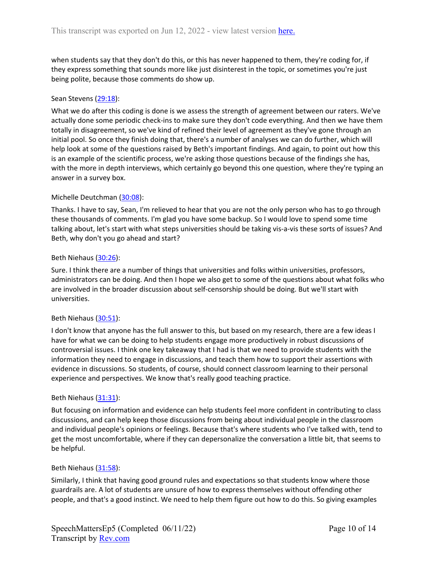when students say that they don't do this, or this has never happened to them, they're coding for, if they express something that sounds more like just disinterest in the topic, or sometimes you're just being polite, because those comments do show up.

## Sean Stevens ([29:18\)](https://www.rev.com/transcript-editor/Edit?token=Oz66GsxP5AAsxerqXj3YXe7Cdvo-MoDEk7Lc3kABKuDErans08uKKXLAj_0lT-IAGM9S-7IrbitVkNFXgiruaa79Ch8&loadFrom=DocumentDeeplink&ts=1758.84):

What we do after this coding is done is we assess the strength of agreement between our raters. We've actually done some periodic check-ins to make sure they don't code everything. And then we have them totally in disagreement, so we've kind of refined their level of agreement as they've gone through an initial pool. So once they finish doing that, there's a number of analyses we can do further, which will help look at some of the questions raised by Beth's important findings. And again, to point out how this is an example of the scientific process, we're asking those questions because of the findings she has, with the more in depth interviews, which certainly go beyond this one question, where they're typing an answer in a survey box.

# Michelle Deutchman ([30:08\)](https://www.rev.com/transcript-editor/Edit?token=sI9DhztUVdJGl_q5fpDiO9PZ2O-O0Mt5NUz046_0h5Tzzx1GDFimFHBgzEvDnPR_cczLdIIr3ZcbPEt_5wmi1-W3l28&loadFrom=DocumentDeeplink&ts=1808.15):

Thanks. I have to say, Sean, I'm relieved to hear that you are not the only person who has to go through these thousands of comments. I'm glad you have some backup. So I would love to spend some time talking about, let's start with what steps universities should be taking vis-a-vis these sorts of issues? And Beth, why don't you go ahead and start?

## Beth Niehaus [\(30:26\)](https://www.rev.com/transcript-editor/Edit?token=NgTxZbWf_7VnPHbOB9hYQwQ9AZIOP3hiHxuhDNBbO3lJ24yrGk5YkaKsi8V0t_tXeGiq1OYgelwoPNoWxRqyx-iueug&loadFrom=DocumentDeeplink&ts=1826.57):

Sure. I think there are a number of things that universities and folks within universities, professors, administrators can be doing. And then I hope we also get to some of the questions about what folks who are involved in the broader discussion about self-censorship should be doing. But we'll start with universities.

## Beth Niehaus [\(30:51\)](https://www.rev.com/transcript-editor/Edit?token=hmX0m9yYX-hlWeoFP1oOqUZaHZWcpVYJYPDcEk_AkDF6w8PfWNIQbOQ0NKzl3AoM0yJla6NqjT0BF2stEbe879PI-VU&loadFrom=DocumentDeeplink&ts=1851.1):

I don't know that anyone has the full answer to this, but based on my research, there are a few ideas I have for what we can be doing to help students engage more productively in robust discussions of controversial issues. I think one key takeaway that I had is that we need to provide students with the information they need to engage in discussions, and teach them how to support their assertions with evidence in discussions. So students, of course, should connect classroom learning to their personal experience and perspectives. We know that's really good teaching practice.

## Beth Niehaus [\(31:31\)](https://www.rev.com/transcript-editor/Edit?token=eGWOcy0AdpAmS__R17FxAYHMZw3W9znLAX3snGxjPyYgS6Sz5uLJgprdSTKBIe5ZKfmXDlbsRvlHewWUaTrQYkz1Db4&loadFrom=DocumentDeeplink&ts=1891.85):

But focusing on information and evidence can help students feel more confident in contributing to class discussions, and can help keep those discussions from being about individual people in the classroom and individual people's opinions or feelings. Because that's where students who I've talked with, tend to get the most uncomfortable, where if they can depersonalize the conversation a little bit, that seems to be helpful.

## Beth Niehaus [\(31:58\)](https://www.rev.com/transcript-editor/Edit?token=Zs8EgVoD7Hb2Jlvgg5iGFDOYTNYIkWnxguEZhtC9HmtezBriZUi0iwbhIFHcBAsYkrWd9aPHfs88C8RDpMWtoQgjICk&loadFrom=DocumentDeeplink&ts=1918.69):

Similarly, I think that having good ground rules and expectations so that students know where those guardrails are. A lot of students are unsure of how to express themselves without offending other people, and that's a good instinct. We need to help them figure out how to do this. So giving examples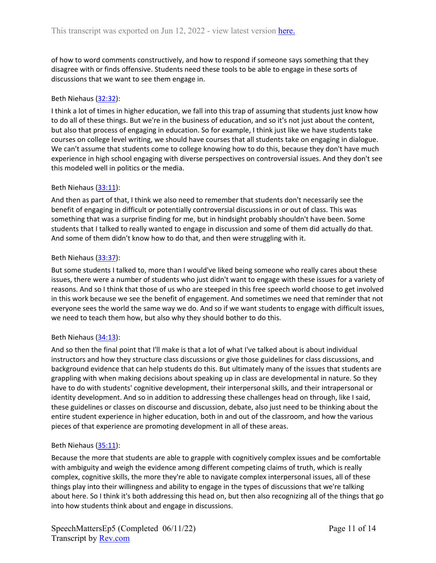of how to word comments constructively, and how to respond if someone says something that they disagree with or finds offensive. Students need these tools to be able to engage in these sorts of discussions that we want to see them engage in.

# Beth Niehaus [\(32:32\)](https://www.rev.com/transcript-editor/Edit?token=8fEHgB_5lmqh5PQ4cKcxuGcQ0RPQhMqh4x1Ba4ET6o5k0o47wX8VIVoVG6Nd-st46Pc-XeF5xGeIFS93P0LKc2CrKrU&loadFrom=DocumentDeeplink&ts=1952.24):

I think a lot of times in higher education, we fall into this trap of assuming that students just know how to do all of these things. But we're in the business of education, and so it's not just about the content, but also that process of engaging in education. So for example, I think just like we have students take courses on college level writing, we should have courses that all students take on engaging in dialogue. We can't assume that students come to college knowing how to do this, because they don't have much experience in high school engaging with diverse perspectives on controversial issues. And they don't see this modeled well in politics or the media.

# Beth Niehaus [\(33:11\)](https://www.rev.com/transcript-editor/Edit?token=INtAQCtcq_GhlwXwK0l3x-MGNRnzWaeaIW-dHiO0-Gq9KEXd_ex0Ih40kr8r5jW40hDPac2WK2IevZNFiRg3J1SuYhE&loadFrom=DocumentDeeplink&ts=1991.63):

And then as part of that, I think we also need to remember that students don't necessarily see the benefit of engaging in difficult or potentially controversial discussions in or out of class. This was something that was a surprise finding for me, but in hindsight probably shouldn't have been. Some students that I talked to really wanted to engage in discussion and some of them did actually do that. And some of them didn't know how to do that, and then were struggling with it.

## Beth Niehaus [\(33:37\)](https://www.rev.com/transcript-editor/Edit?token=w4729VivrzoTC7sd1NWsIv0WdGBpOkhygeuQClFq26oSwHZOolLfC3pDnum6CK4JljMtUMnSSYH7i5lDKwiSYraXgWg&loadFrom=DocumentDeeplink&ts=2017.84):

But some students I talked to, more than I would've liked being someone who really cares about these issues, there were a number of students who just didn't want to engage with these issues for a variety of reasons. And so I think that those of us who are steeped in this free speech world choose to get involved in this work because we see the benefit of engagement. And sometimes we need that reminder that not everyone sees the world the same way we do. And so if we want students to engage with difficult issues, we need to teach them how, but also why they should bother to do this.

## Beth Niehaus [\(34:13\)](https://www.rev.com/transcript-editor/Edit?token=bdsm8IYTLQ_4OLxio9CxzqEKX9IpG0TTdmh9vsLDHuW4v9cLsUUzvYi3D1jPWcmXcTxiMn1eLL_HMQW58-I1ZakcQlM&loadFrom=DocumentDeeplink&ts=2053.69):

And so then the final point that I'll make is that a lot of what I've talked about is about individual instructors and how they structure class discussions or give those guidelines for class discussions, and background evidence that can help students do this. But ultimately many of the issues that students are grappling with when making decisions about speaking up in class are developmental in nature. So they have to do with students' cognitive development, their interpersonal skills, and their intrapersonal or identity development. And so in addition to addressing these challenges head on through, like I said, these guidelines or classes on discourse and discussion, debate, also just need to be thinking about the entire student experience in higher education, both in and out of the classroom, and how the various pieces of that experience are promoting development in all of these areas.

## Beth Niehaus [\(35:11\)](https://www.rev.com/transcript-editor/Edit?token=MjZUwfm57rZpNxtXc5pnTzpqE4yPuaf7GxdhI3erQyGUhfYVme_x87gROUn98KYKg-izUacGso6X6LO4hCHcOMB1rIM&loadFrom=DocumentDeeplink&ts=2111.6):

Because the more that students are able to grapple with cognitively complex issues and be comfortable with ambiguity and weigh the evidence among different competing claims of truth, which is really complex, cognitive skills, the more they're able to navigate complex interpersonal issues, all of these things play into their willingness and ability to engage in the types of discussions that we're talking about here. So I think it's both addressing this head on, but then also recognizing all of the things that go into how students think about and engage in discussions.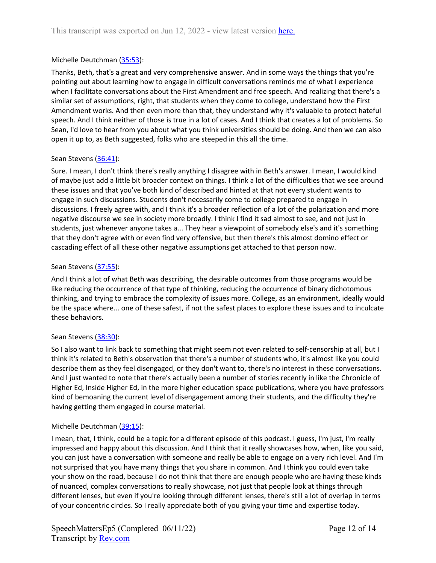# Michelle Deutchman ([35:53\)](https://www.rev.com/transcript-editor/Edit?token=7PfpyaYM6-IGSOegSCbRRmf2sP7-YjhTbmS6q_28rDSB19t-yKh_0VRnSZbcfeSRhgE-siz5llumDx63Ftnt7dHFo1M&loadFrom=DocumentDeeplink&ts=2153.34):

Thanks, Beth, that's a great and very comprehensive answer. And in some ways the things that you're pointing out about learning how to engage in difficult conversations reminds me of what I experience when I facilitate conversations about the First Amendment and free speech. And realizing that there's a similar set of assumptions, right, that students when they come to college, understand how the First Amendment works. And then even more than that, they understand why it's valuable to protect hateful speech. And I think neither of those is true in a lot of cases. And I think that creates a lot of problems. So Sean, I'd love to hear from you about what you think universities should be doing. And then we can also open it up to, as Beth suggested, folks who are steeped in this all the time.

## Sean Stevens ([36:41\)](https://www.rev.com/transcript-editor/Edit?token=w80eyYUIiWxxIEyCbeWqHwekbKKA-Q0FXC4rEN0s8enmEaUIh00LIyDLNNVWbS1c-8TfAGJtkdpHVx1BSCNKvLc1iaM&loadFrom=DocumentDeeplink&ts=2201.61):

Sure. I mean, I don't think there's really anything I disagree with in Beth's answer. I mean, I would kind of maybe just add a little bit broader context on things. I think a lot of the difficulties that we see around these issues and that you've both kind of described and hinted at that not every student wants to engage in such discussions. Students don't necessarily come to college prepared to engage in discussions. I freely agree with, and I think it's a broader reflection of a lot of the polarization and more negative discourse we see in society more broadly. I think I find it sad almost to see, and not just in students, just whenever anyone takes a... They hear a viewpoint of somebody else's and it's something that they don't agree with or even find very offensive, but then there's this almost domino effect or cascading effect of all these other negative assumptions get attached to that person now.

## Sean Stevens ([37:55\)](https://www.rev.com/transcript-editor/Edit?token=v4cDwlAbot4Ca7cpkMnptRckwZg_nV18i60JgD6Cia2Q20cbguLdeAxl5y-utWMTjkx2Md_blTXm1xX4OnHkRqmYG3A&loadFrom=DocumentDeeplink&ts=2275.96):

And I think a lot of what Beth was describing, the desirable outcomes from those programs would be like reducing the occurrence of that type of thinking, reducing the occurrence of binary dichotomous thinking, and trying to embrace the complexity of issues more. College, as an environment, ideally would be the space where... one of these safest, if not the safest places to explore these issues and to inculcate these behaviors.

## Sean Stevens ([38:30\)](https://www.rev.com/transcript-editor/Edit?token=jtA5y4TlsBfdXU-LfoLqKzW4i2uI9_0oJ3AI2ANs0ApW7ocRnaEhT2G2WQ-DpEPdG9BmmCkfp78Y62tpoXYQLgybMf0&loadFrom=DocumentDeeplink&ts=2310.1):

So I also want to link back to something that might seem not even related to self-censorship at all, but I think it's related to Beth's observation that there's a number of students who, it's almost like you could describe them as they feel disengaged, or they don't want to, there's no interest in these conversations. And I just wanted to note that there's actually been a number of stories recently in like the Chronicle of Higher Ed, Inside Higher Ed, in the more higher education space publications, where you have professors kind of bemoaning the current level of disengagement among their students, and the difficulty they're having getting them engaged in course material.

## Michelle Deutchman ([39:15\)](https://www.rev.com/transcript-editor/Edit?token=mlq57TDe__6LmvEERhilHYzPV2x4qcbL5i1Ga8VqRo76vzgEycVPTW6EHUZMc3tKjofjC584hLGSSfH7UJ-RLWJ4blE&loadFrom=DocumentDeeplink&ts=2355.95):

I mean, that, I think, could be a topic for a different episode of this podcast. I guess, I'm just, I'm really impressed and happy about this discussion. And I think that it really showcases how, when, like you said, you can just have a conversation with someone and really be able to engage on a very rich level. And I'm not surprised that you have many things that you share in common. And I think you could even take your show on the road, because I do not think that there are enough people who are having these kinds of nuanced, complex conversations to really showcase, not just that people look at things through different lenses, but even if you're looking through different lenses, there's still a lot of overlap in terms of your concentric circles. So I really appreciate both of you giving your time and expertise today.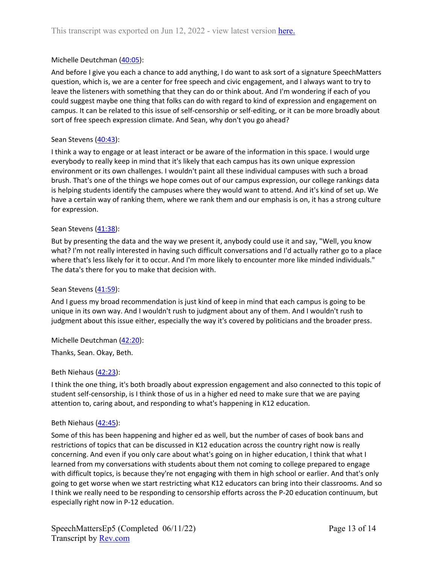# Michelle Deutchman ([40:05\)](https://www.rev.com/transcript-editor/Edit?token=RrAbfqvJa9jFBeyKsE5XcJpF5IiKfKf5vf6APRwxo0WzITPc-6d6M8CmlusjoiWMPr_YS2oFyscRkBPtden0G7jCByA&loadFrom=DocumentDeeplink&ts=2405.62):

And before I give you each a chance to add anything, I do want to ask sort of a signature SpeechMatters question, which is, we are a center for free speech and civic engagement, and I always want to try to leave the listeners with something that they can do or think about. And I'm wondering if each of you could suggest maybe one thing that folks can do with regard to kind of expression and engagement on campus. It can be related to this issue of self-censorship or self-editing, or it can be more broadly about sort of free speech expression climate. And Sean, why don't you go ahead?

## Sean Stevens ([40:43\)](https://www.rev.com/transcript-editor/Edit?token=M2LJ7sD-h6BItXslHsKXuuORWkgU-0nDViegNpHIKc4QtYO2MC1UAwaWPl_tNAw7y7IzKd7sEP3za0jvLUSJ1v5fOl4&loadFrom=DocumentDeeplink&ts=2443.81):

I think a way to engage or at least interact or be aware of the information in this space. I would urge everybody to really keep in mind that it's likely that each campus has its own unique expression environment or its own challenges. I wouldn't paint all these individual campuses with such a broad brush. That's one of the things we hope comes out of our campus expression, our college rankings data is helping students identify the campuses where they would want to attend. And it's kind of set up. We have a certain way of ranking them, where we rank them and our emphasis is on, it has a strong culture for expression.

## Sean Stevens ([41:38\)](https://www.rev.com/transcript-editor/Edit?token=pIJAIVeUEPi7hoZWUb0_9DLWmm4FBAmd-Wsr2rvpvkv3NyXqehoZ601_HPQZ5500HTqrXSWdhf0iFlQc9rQj3s4YifI&loadFrom=DocumentDeeplink&ts=2498.73):

But by presenting the data and the way we present it, anybody could use it and say, "Well, you know what? I'm not really interested in having such difficult conversations and I'd actually rather go to a place where that's less likely for it to occur. And I'm more likely to encounter more like minded individuals." The data's there for you to make that decision with.

## Sean Stevens ([41:59\)](https://www.rev.com/transcript-editor/Edit?token=htSFkQbjQjWWt3DQEjJ9jDnYh-EvSrmBXoeTbqUzjFqSRBW4kD0NBBab3HVirEqmUhQ663aPViT4x26NdoAKrp5DYtk&loadFrom=DocumentDeeplink&ts=2519.68):

And I guess my broad recommendation is just kind of keep in mind that each campus is going to be unique in its own way. And I wouldn't rush to judgment about any of them. And I wouldn't rush to judgment about this issue either, especially the way it's covered by politicians and the broader press.

Michelle Deutchman ([42:20\)](https://www.rev.com/transcript-editor/Edit?token=YTgqJwupTOF9SeOEDvwSCvLxtPbu98w_LiPCQXUXRnK1LV9b_2zoOgF-JsAPiXpZtc_gLGrasqYE249n7U9bUCD1XWA&loadFrom=DocumentDeeplink&ts=2540.36):

Thanks, Sean. Okay, Beth.

## Beth Niehaus [\(42:23\)](https://www.rev.com/transcript-editor/Edit?token=RYGOEqcPd7jbHaKe1e1UfyExxk3ExO0hlqDWVHvTxUe6jVAxRSomoiRQ2fva7UZ70jC2VWdDHUWX2jnbRBBR5NDldHs&loadFrom=DocumentDeeplink&ts=2543.31):

I think the one thing, it's both broadly about expression engagement and also connected to this topic of student self-censorship, is I think those of us in a higher ed need to make sure that we are paying attention to, caring about, and responding to what's happening in K12 education.

## Beth Niehaus [\(42:45\)](https://www.rev.com/transcript-editor/Edit?token=q2dY9QO7UEZzfR3fAvajatPrvBdAMCJv9vJbR0onkYr63iA-VQLzw_VjOliqF3j1YQ92M_h9ta4y685VzoGYDIFc3RU&loadFrom=DocumentDeeplink&ts=2565):

Some of this has been happening and higher ed as well, but the number of cases of book bans and restrictions of topics that can be discussed in K12 education across the country right now is really concerning. And even if you only care about what's going on in higher education, I think that what I learned from my conversations with students about them not coming to college prepared to engage with difficult topics, is because they're not engaging with them in high school or earlier. And that's only going to get worse when we start restricting what K12 educators can bring into their classrooms. And so I think we really need to be responding to censorship efforts across the P-20 education continuum, but especially right now in P-12 education.